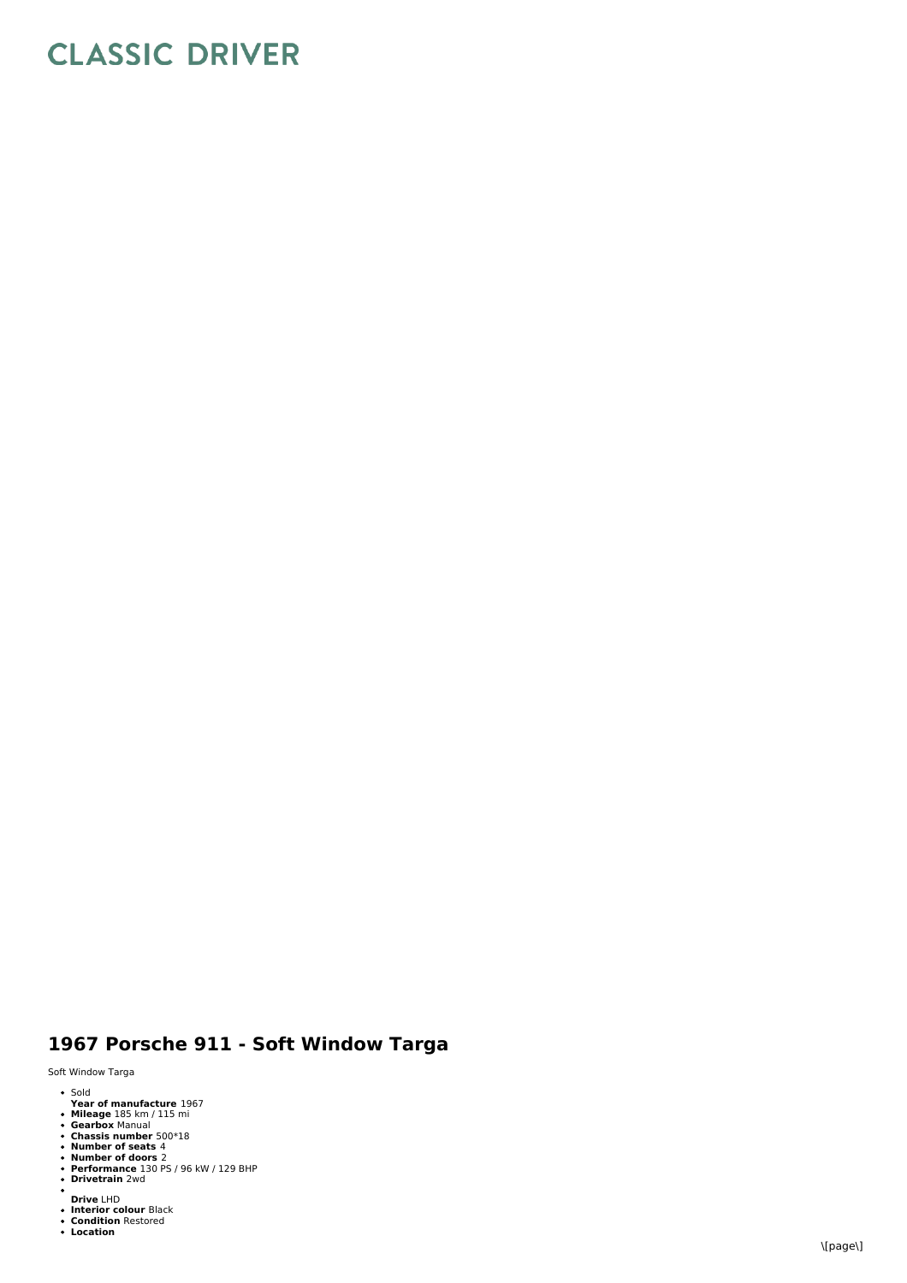## **CLASSIC DRIVER**

## 1967 Porsche 911 - Soft Window Targa

Soft Window Targa

- $\bullet$  Sold old
- 
- 
- 
- 
- 
- Year of manufacture 1967<br>Mileage 185 km / 115 mi<br>Gearbox Manual<br>Chassis number 500\*18<br>Number of seats 4<br>Pumber of doors 2<br>Privetrain 2wd<br>Drivetrain 2wd
- 
- 
- **Drive** LHD<br>Interior colour Black<br>Condition Restored<br>Location
-